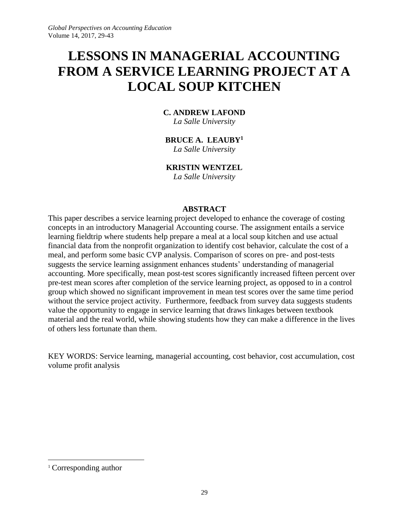# **LESSONS IN MANAGERIAL ACCOUNTING FROM A SERVICE LEARNING PROJECT AT A LOCAL SOUP KITCHEN**

# **C. ANDREW LAFOND**

*La Salle University*

# **BRUCE A. LEAUBY<sup>1</sup>**

*La Salle University*

## **KRISTIN WENTZEL**

*La Salle University*

## **ABSTRACT**

This paper describes a service learning project developed to enhance the coverage of costing concepts in an introductory Managerial Accounting course. The assignment entails a service learning fieldtrip where students help prepare a meal at a local soup kitchen and use actual financial data from the nonprofit organization to identify cost behavior, calculate the cost of a meal, and perform some basic CVP analysis. Comparison of scores on pre- and post-tests suggests the service learning assignment enhances students' understanding of managerial accounting. More specifically, mean post-test scores significantly increased fifteen percent over pre-test mean scores after completion of the service learning project, as opposed to in a control group which showed no significant improvement in mean test scores over the same time period without the service project activity. Furthermore, feedback from survey data suggests students value the opportunity to engage in service learning that draws linkages between textbook material and the real world, while showing students how they can make a difference in the lives of others less fortunate than them.

KEY WORDS: Service learning, managerial accounting, cost behavior, cost accumulation, cost volume profit analysis

 $\overline{a}$ 

<sup>1</sup> Corresponding author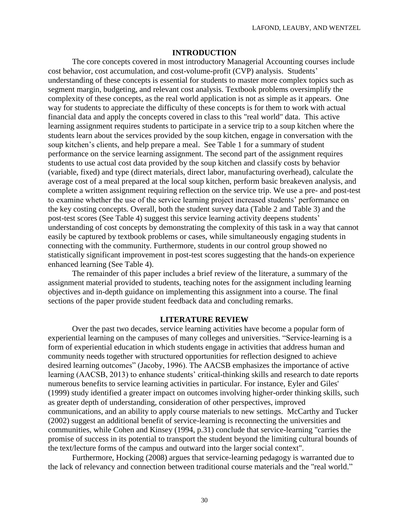#### **INTRODUCTION**

The core concepts covered in most introductory Managerial Accounting courses include cost behavior, cost accumulation, and cost-volume-profit (CVP) analysis. Students' understanding of these concepts is essential for students to master more complex topics such as segment margin, budgeting, and relevant cost analysis. Textbook problems oversimplify the complexity of these concepts, as the real world application is not as simple as it appears. One way for students to appreciate the difficulty of these concepts is for them to work with actual financial data and apply the concepts covered in class to this "real world" data. This active learning assignment requires students to participate in a service trip to a soup kitchen where the students learn about the services provided by the soup kitchen, engage in conversation with the soup kitchen's clients, and help prepare a meal. See Table 1 for a summary of student performance on the service learning assignment. The second part of the assignment requires students to use actual cost data provided by the soup kitchen and classify costs by behavior (variable, fixed) and type (direct materials, direct labor, manufacturing overhead), calculate the average cost of a meal prepared at the local soup kitchen, perform basic breakeven analysis, and complete a written assignment requiring reflection on the service trip. We use a pre- and post-test to examine whether the use of the service learning project increased students' performance on the key costing concepts. Overall, both the student survey data (Table 2 and Table 3) and the post-test scores (See Table 4) suggest this service learning activity deepens students' understanding of cost concepts by demonstrating the complexity of this task in a way that cannot easily be captured by textbook problems or cases, while simultaneously engaging students in connecting with the community. Furthermore, students in our control group showed no statistically significant improvement in post-test scores suggesting that the hands-on experience enhanced learning (See Table 4).

The remainder of this paper includes a brief review of the literature, a summary of the assignment material provided to students, teaching notes for the assignment including learning objectives and in-depth guidance on implementing this assignment into a course. The final sections of the paper provide student feedback data and concluding remarks.

#### **LITERATURE REVIEW**

Over the past two decades, service learning activities have become a popular form of experiential learning on the campuses of many colleges and universities. "Service-learning is a form of experiential education in which students engage in activities that address human and community needs together with structured opportunities for reflection designed to achieve desired learning outcomes" (Jacoby, 1996). The AACSB emphasizes the importance of active learning (AACSB, 2013) to enhance students' critical-thinking skills and research to date reports numerous benefits to service learning activities in particular. For instance, Eyler and Giles' (1999) study identified a greater impact on outcomes involving higher-order thinking skills, such as greater depth of understanding, consideration of other perspectives, improved communications, and an ability to apply course materials to new settings. McCarthy and Tucker (2002) suggest an additional benefit of service-learning is reconnecting the universities and communities, while Cohen and Kinsey (1994, p.31) conclude that service-learning "carries the promise of success in its potential to transport the student beyond the limiting cultural bounds of the text/lecture forms of the campus and outward into the larger social context".

Furthermore, Hocking (2008) argues that service-learning pedagogy is warranted due to the lack of relevancy and connection between traditional course materials and the "real world."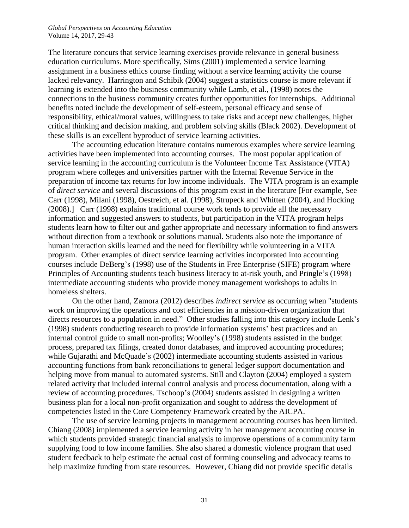#### *Global Perspectives on Accounting Education* Volume 14, 2017, 29-43

The literature concurs that service learning exercises provide relevance in general business education curriculums. More specifically, Sims (2001) implemented a service learning assignment in a business ethics course finding without a service learning activity the course lacked relevancy. Harrington and Schibik (2004) suggest a statistics course is more relevant if learning is extended into the business community while Lamb, et al., (1998) notes the connections to the business community creates further opportunities for internships. Additional benefits noted include the development of self-esteem, personal efficacy and sense of responsibility, ethical/moral values, willingness to take risks and accept new challenges, higher critical thinking and decision making, and problem solving skills (Black 2002). Development of these skills is an excellent byproduct of service learning activities.

The accounting education literature contains numerous examples where service learning activities have been implemented into accounting courses. The most popular application of service learning in the accounting curriculum is the Volunteer Income Tax Assistance (VITA) program where colleges and universities partner with the Internal Revenue Service in the preparation of income tax returns for low income individuals. The VITA program is an example of *direct service* and several discussions of this program exist in the literature [For example, See Carr (1998), Milani (1998), Oestreich, et al. (1998), Strupeck and Whitten (2004), and Hocking (2008).] Carr (1998) explains traditional course work tends to provide all the necessary information and suggested answers to students, but participation in the VITA program helps students learn how to filter out and gather appropriate and necessary information to find answers without direction from a textbook or solutions manual. Students also note the importance of human interaction skills learned and the need for flexibility while volunteering in a VITA program. Other examples of direct service learning activities incorporated into accounting courses include DeBerg's (1998) use of the Students in Free Enterprise (SIFE) program where Principles of Accounting students teach business literacy to at-risk youth, and Pringle's (1998) intermediate accounting students who provide money management workshops to adults in homeless shelters.

On the other hand, Zamora (2012) describes *indirect service* as occurring when "students work on improving the operations and cost efficiencies in a mission-driven organization that directs resources to a population in need." Other studies falling into this category include Lenk's (1998) students conducting research to provide information systems' best practices and an internal control guide to small non-profits; Woolley's (1998) students assisted in the budget process, prepared tax filings, created donor databases, and improved accounting procedures; while Gujarathi and McQuade's (2002) intermediate accounting students assisted in various accounting functions from bank reconciliations to general ledger support documentation and helping move from manual to automated systems. Still and Clayton (2004) employed a system related activity that included internal control analysis and process documentation, along with a review of accounting procedures. Tschoop's (2004) students assisted in designing a written business plan for a local non-profit organization and sought to address the development of competencies listed in the Core Competency Framework created by the AICPA.

The use of service learning projects in management accounting courses has been limited. Chiang (2008) implemented a service learning activity in her management accounting course in which students provided strategic financial analysis to improve operations of a community farm supplying food to low income families. She also shared a domestic violence program that used student feedback to help estimate the actual cost of forming counseling and advocacy teams to help maximize funding from state resources. However, Chiang did not provide specific details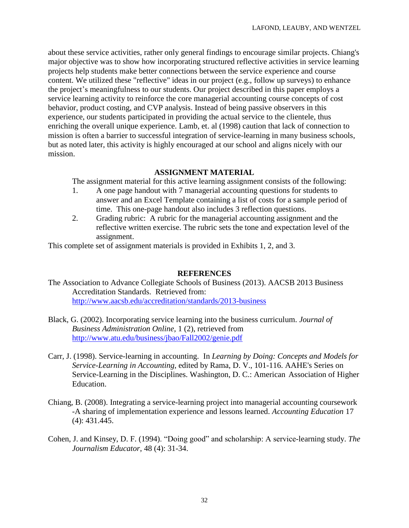about these service activities, rather only general findings to encourage similar projects. Chiang's major objective was to show how incorporating structured reflective activities in service learning projects help students make better connections between the service experience and course content. We utilized these "reflective" ideas in our project (e.g., follow up surveys) to enhance the project's meaningfulness to our students. Our project described in this paper employs a service learning activity to reinforce the core managerial accounting course concepts of cost behavior, product costing, and CVP analysis. Instead of being passive observers in this experience, our students participated in providing the actual service to the clientele, thus enriching the overall unique experience. Lamb, et. al (1998) caution that lack of connection to mission is often a barrier to successful integration of service-learning in many business schools, but as noted later, this activity is highly encouraged at our school and aligns nicely with our mission.

#### **ASSIGNMENT MATERIAL**

The assignment material for this active learning assignment consists of the following:

- 1. A one page handout with 7 managerial accounting questions for students to answer and an Excel Template containing a list of costs for a sample period of time. This one-page handout also includes 3 reflection questions.
- 2. Grading rubric: A rubric for the managerial accounting assignment and the reflective written exercise. The rubric sets the tone and expectation level of the assignment.

This complete set of assignment materials is provided in Exhibits 1, 2, and 3.

#### **REFERENCES**

- The Association to Advance Collegiate Schools of Business (2013). AACSB 2013 Business Accreditation Standards. Retrieved from: <http://www.aacsb.edu/accreditation/standards/2013-business>
- Black, G. (2002). Incorporating service learning into the business curriculum. *Journal of Business Administration Online,* 1 (2), retrieved from <http://www.atu.edu/business/jbao/Fall2002/genie.pdf>
- Carr, J. (1998). Service-learning in accounting. In *Learning by Doing: Concepts and Models for Service-Learning in Accounting,* edited by Rama, D. V., 101-116. AAHE's Series on Service-Learning in the Disciplines. Washington, D. C.: American Association of Higher Education.
- Chiang, B. (2008). Integrating a service-learning project into managerial accounting coursework -A sharing of implementation experience and lessons learned. *Accounting Education* 17 (4): 431.445.
- Cohen, J. and Kinsey, D. F. (1994). "Doing good" and scholarship: A service-learning study. *The Journalism Educator*, 48 (4): 31-34.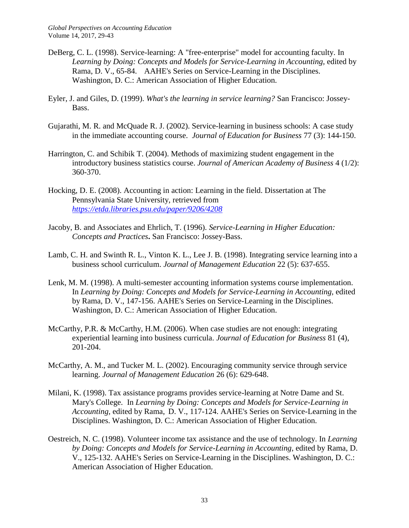- DeBerg, C. L. (1998). Service-learning: A "free-enterprise" model for accounting faculty. In Learning by Doing: Concepts and Models for Service-Learning in Accounting, edited by Rama, D. V., 65-84. AAHE's Series on Service-Learning in the Disciplines. Washington, D. C.: American Association of Higher Education.
- Eyler, J. and Giles, D. (1999). *What's the learning in service learning?* San Francisco: Jossey-Bass.
- Gujarathi, M. R. and McQuade R. J. (2002). Service-learning in business schools: A case study in the immediate accounting course. *Journal of Education for Business* 77 (3): 144-150.
- Harrington, C. and Schibik T. (2004). Methods of maximizing student engagement in the introductory business statistics course. *Journal of American Academy of Business* 4 (1/2): 360-370.
- Hocking, D. E. (2008). Accounting in action: Learning in the field. Dissertation at The Pennsylvania State University, retrieved from *<https://etda.libraries.psu.edu/paper/9206/4208>*
- Jacoby, B. and Associates and Ehrlich, T. (1996). *Service-Learning in Higher Education: Concepts and Practices***.** San Francisco: Jossey-Bass.
- Lamb, C. H. and Swinth R. L., Vinton K. L., Lee J. B. (1998). Integrating service learning into a business school curriculum. *Journal of Management Education* 22 (5): 637-655.
- Lenk, M. M. (1998). A multi-semester accounting information systems course implementation. In *Learning by Doing: Concepts and Models for Service-Learning in Accounting,* edited by Rama, D. V., 147-156. AAHE's Series on Service-Learning in the Disciplines. Washington, D. C.: American Association of Higher Education.
- McCarthy, P.R. & McCarthy, H.M. (2006). When case studies are not enough: integrating experiential learning into business curricula. *Journal of Education for Business* 81 (4), 201-204.
- McCarthy, A. M., and Tucker M. L. (2002). Encouraging community service through service learning. *Journal of Management Education* 26 (6): 629-648.
- Milani, K. (1998). Tax assistance programs provides service-learning at Notre Dame and St. Mary's College. In *Learning by Doing: Concepts and Models for Service-Learning in Accounting,* edited by Rama, D. V., 117-124. AAHE's Series on Service-Learning in the Disciplines. Washington, D. C.: American Association of Higher Education.
- Oestreich, N. C. (1998). Volunteer income tax assistance and the use of technology. In *Learning by Doing: Concepts and Models for Service-Learning in Accounting,* edited by Rama, D. V., 125-132. AAHE's Series on Service-Learning in the Disciplines. Washington, D. C.: American Association of Higher Education.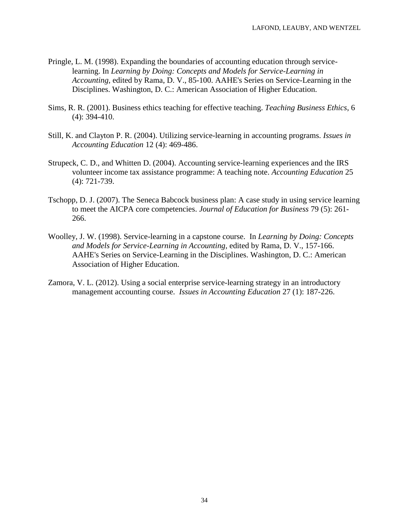- Pringle, L. M. (1998). Expanding the boundaries of accounting education through servicelearning. In *Learning by Doing: Concepts and Models for Service-Learning in Accounting,* edited by Rama, D. V., 85-100. AAHE's Series on Service-Learning in the Disciplines. Washington, D. C.: American Association of Higher Education.
- Sims, R. R. (2001). Business ethics teaching for effective teaching. *Teaching Business Ethics*, 6 (4): 394-410.
- Still, K. and Clayton P. R. (2004). Utilizing service-learning in accounting programs. *Issues in Accounting Education* 12 (4): 469-486.
- Strupeck, C. D., and Whitten D. (2004). Accounting service-learning experiences and the IRS volunteer income tax assistance programme: A teaching note. *Accounting Education* 25 (4): 721-739.
- Tschopp, D. J. (2007). The Seneca Babcock business plan: A case study in using service learning to meet the AICPA core competencies. *Journal of Education for Business* 79 (5): 261- 266.
- Woolley, J. W. (1998). Service-learning in a capstone course. In *Learning by Doing: Concepts and Models for Service-Learning in Accounting,* edited by Rama, D. V., 157-166. AAHE's Series on Service-Learning in the Disciplines. Washington, D. C.: American Association of Higher Education.
- Zamora, V. L. (2012). Using a social enterprise service-learning strategy in an introductory management accounting course. *Issues in Accounting Education* 27 (1): 187-226.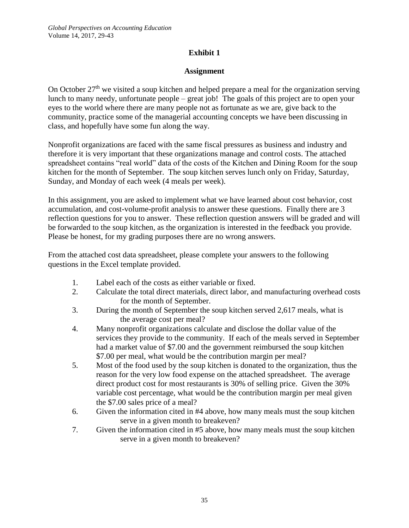# **Exhibit 1**

## **Assignment**

On October  $27<sup>th</sup>$  we visited a soup kitchen and helped prepare a meal for the organization serving lunch to many needy, unfortunate people – great job! The goals of this project are to open your eyes to the world where there are many people not as fortunate as we are, give back to the community, practice some of the managerial accounting concepts we have been discussing in class, and hopefully have some fun along the way.

Nonprofit organizations are faced with the same fiscal pressures as business and industry and therefore it is very important that these organizations manage and control costs. The attached spreadsheet contains "real world" data of the costs of the Kitchen and Dining Room for the soup kitchen for the month of September. The soup kitchen serves lunch only on Friday, Saturday, Sunday, and Monday of each week (4 meals per week).

In this assignment, you are asked to implement what we have learned about cost behavior, cost accumulation, and cost-volume-profit analysis to answer these questions. Finally there are 3 reflection questions for you to answer. These reflection question answers will be graded and will be forwarded to the soup kitchen, as the organization is interested in the feedback you provide. Please be honest, for my grading purposes there are no wrong answers.

From the attached cost data spreadsheet, please complete your answers to the following questions in the Excel template provided.

- 1. Label each of the costs as either variable or fixed.
- 2. Calculate the total direct materials, direct labor, and manufacturing overhead costs for the month of September.
- 3. During the month of September the soup kitchen served 2,617 meals, what is the average cost per meal?
- 4. Many nonprofit organizations calculate and disclose the dollar value of the services they provide to the community. If each of the meals served in September had a market value of \$7.00 and the government reimbursed the soup kitchen \$7.00 per meal, what would be the contribution margin per meal?
- 5. Most of the food used by the soup kitchen is donated to the organization, thus the reason for the very low food expense on the attached spreadsheet. The average direct product cost for most restaurants is 30% of selling price. Given the 30% variable cost percentage, what would be the contribution margin per meal given the \$7.00 sales price of a meal?
- 6. Given the information cited in #4 above, how many meals must the soup kitchen serve in a given month to breakeven?
- 7. Given the information cited in #5 above, how many meals must the soup kitchen serve in a given month to breakeven?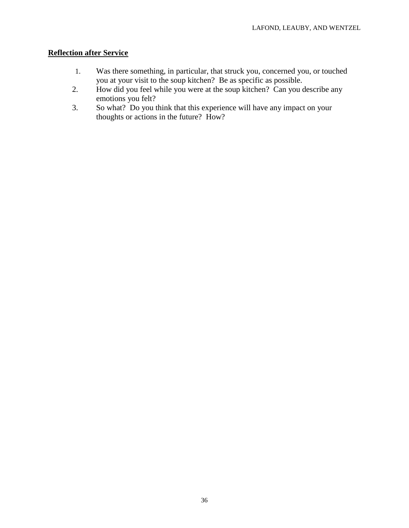# **Reflection after Service**

- 1. Was there something, in particular, that struck you, concerned you, or touched you at your visit to the soup kitchen? Be as specific as possible.
- 2. How did you feel while you were at the soup kitchen? Can you describe any emotions you felt?
- 3. So what? Do you think that this experience will have any impact on your thoughts or actions in the future? How?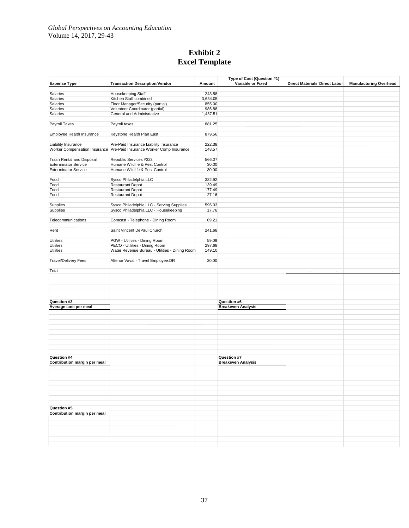## **Exhibit 2 Excel Template**

|                              |                                                                        |          | Type of Cost (Question #1) |                               |                |                               |  |  |
|------------------------------|------------------------------------------------------------------------|----------|----------------------------|-------------------------------|----------------|-------------------------------|--|--|
| <b>Expense Type</b>          | <b>Transaction Description/Vendor</b>                                  | Amount   | Variable or Fixed          | Direct Materials Direct Labor |                | <b>Manufacturing Overhead</b> |  |  |
|                              |                                                                        |          |                            |                               |                |                               |  |  |
| Salaries                     | Housekeeping Staff                                                     | 243.58   |                            |                               |                |                               |  |  |
| Salaries                     | Kitchen Staff combined                                                 | 3,634.05 |                            |                               |                |                               |  |  |
| Salaries                     | Floor Manager/Security (partial)                                       | 855.00   |                            |                               |                |                               |  |  |
| Salaries                     | Volunteer Coordinator (partial)                                        | 986.88   |                            |                               |                |                               |  |  |
| Salaries                     | General and Adminisrtative                                             | 1,487.51 |                            |                               |                |                               |  |  |
|                              |                                                                        |          |                            |                               |                |                               |  |  |
| Payroll Taxes                | Payroll taxes                                                          | 881.25   |                            |                               |                |                               |  |  |
|                              |                                                                        |          |                            |                               |                |                               |  |  |
| Employee Health Insurance    | Keystone Health Plan East                                              | 879.56   |                            |                               |                |                               |  |  |
|                              |                                                                        |          |                            |                               |                |                               |  |  |
| Liability Insurance          | Pre-Paid Insurance Liability Insurance                                 | 222.38   |                            |                               |                |                               |  |  |
|                              | Worker Compensation Insurance Pre-Paid Insurance Worker Comp Insurance | 148.57   |                            |                               |                |                               |  |  |
|                              |                                                                        |          |                            |                               |                |                               |  |  |
| Trash Rental and Disposal    | Republic Services #323                                                 | 566.07   |                            |                               |                |                               |  |  |
| <b>Exterminator Service</b>  | Humane Wildlife & Pest Control                                         | 30.00    |                            |                               |                |                               |  |  |
| <b>Exterminator Service</b>  | Humane Wildlife & Pest Control                                         | 30.00    |                            |                               |                |                               |  |  |
|                              |                                                                        |          |                            |                               |                |                               |  |  |
|                              |                                                                        |          |                            |                               |                |                               |  |  |
| Food                         | Sysco Philadelphia LLC                                                 | 332.92   |                            |                               |                |                               |  |  |
| Food                         | <b>Restaurant Depot</b>                                                | 139.49   |                            |                               |                |                               |  |  |
| Food                         | <b>Restaurant Depot</b>                                                | 177.49   |                            |                               |                |                               |  |  |
| Food                         | <b>Restaurant Depot</b>                                                | 27.16    |                            |                               |                |                               |  |  |
|                              |                                                                        |          |                            |                               |                |                               |  |  |
| Supplies                     | Sysco Philadelphia LLC - Serving Supplies                              | 596.03   |                            |                               |                |                               |  |  |
| Supplies                     | Sysco Philadelphia LLC - Housekeeping                                  | 17.76    |                            |                               |                |                               |  |  |
|                              |                                                                        |          |                            |                               |                |                               |  |  |
| Telecommunications           | Comcast - Telephone - Dining Room                                      | 69.21    |                            |                               |                |                               |  |  |
|                              |                                                                        |          |                            |                               |                |                               |  |  |
| Rent                         | Saint Vincent DePaul Church                                            | 241.68   |                            |                               |                |                               |  |  |
|                              |                                                                        |          |                            |                               |                |                               |  |  |
| Utilities                    | PGW - Utilities - Dining Room                                          | 59.09    |                            |                               |                |                               |  |  |
| <b>Utilities</b>             | PECO - Utilities - Dining Room                                         | 297.68   |                            |                               |                |                               |  |  |
| Utilities                    | Water Revenue Bureau - Utilities - Dining Room                         | 149.10   |                            |                               |                |                               |  |  |
|                              |                                                                        |          |                            |                               |                |                               |  |  |
| <b>Travel/Delivery Fees</b>  | Altenor Vaval - Travel Employee:DR                                     | 30.00    |                            |                               |                |                               |  |  |
|                              |                                                                        |          |                            |                               |                |                               |  |  |
|                              |                                                                        |          |                            |                               |                | $\overline{a}$                |  |  |
| Total                        |                                                                        |          |                            | $\sim$                        | $\blacksquare$ |                               |  |  |
|                              |                                                                        |          |                            |                               |                |                               |  |  |
|                              |                                                                        |          |                            |                               |                |                               |  |  |
|                              |                                                                        |          |                            |                               |                |                               |  |  |
|                              |                                                                        |          |                            |                               |                |                               |  |  |
|                              |                                                                        |          |                            |                               |                |                               |  |  |
|                              |                                                                        |          |                            |                               |                |                               |  |  |
| Question #3                  |                                                                        |          | Question #6                |                               |                |                               |  |  |
|                              |                                                                        |          |                            |                               |                |                               |  |  |
| Average cost per meal        |                                                                        |          | <b>Breakeven Analysis</b>  |                               |                |                               |  |  |
|                              |                                                                        |          |                            |                               |                |                               |  |  |
|                              |                                                                        |          |                            |                               |                |                               |  |  |
|                              |                                                                        |          |                            |                               |                |                               |  |  |
|                              |                                                                        |          |                            |                               |                |                               |  |  |
|                              |                                                                        |          |                            |                               |                |                               |  |  |
|                              |                                                                        |          |                            |                               |                |                               |  |  |
|                              |                                                                        |          |                            |                               |                |                               |  |  |
|                              |                                                                        |          |                            |                               |                |                               |  |  |
|                              |                                                                        |          |                            |                               |                |                               |  |  |
| Question #4                  |                                                                        |          | Question #7                |                               |                |                               |  |  |
| Contribution margin per meal |                                                                        |          | <b>Breakeven Analysis</b>  |                               |                |                               |  |  |
|                              |                                                                        |          |                            |                               |                |                               |  |  |
|                              |                                                                        |          |                            |                               |                |                               |  |  |
|                              |                                                                        |          |                            |                               |                |                               |  |  |
|                              |                                                                        |          |                            |                               |                |                               |  |  |
|                              |                                                                        |          |                            |                               |                |                               |  |  |
|                              |                                                                        |          |                            |                               |                |                               |  |  |
|                              |                                                                        |          |                            |                               |                |                               |  |  |
|                              |                                                                        |          |                            |                               |                |                               |  |  |
|                              |                                                                        |          |                            |                               |                |                               |  |  |
| Question #5                  |                                                                        |          |                            |                               |                |                               |  |  |
| Contribution margin per meal |                                                                        |          |                            |                               |                |                               |  |  |
|                              |                                                                        |          |                            |                               |                |                               |  |  |
|                              |                                                                        |          |                            |                               |                |                               |  |  |
|                              |                                                                        |          |                            |                               |                |                               |  |  |
|                              |                                                                        |          |                            |                               |                |                               |  |  |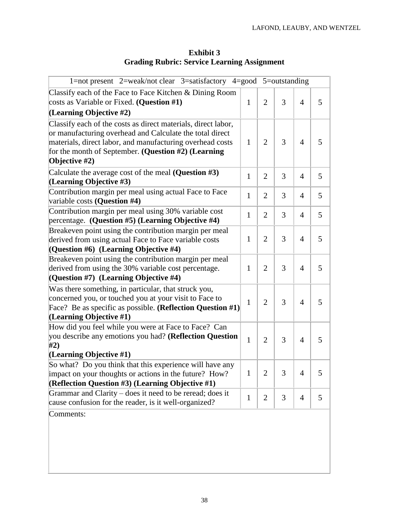| <b>Exhibit 3</b>                                   |  |
|----------------------------------------------------|--|
| <b>Grading Rubric: Service Learning Assignment</b> |  |

| 1=not present $2$ =weak/not clear $3$ =satisfactory $4$ =good $5$ =outstanding                                                                                                                                                                                 |              |                |   |                |   |
|----------------------------------------------------------------------------------------------------------------------------------------------------------------------------------------------------------------------------------------------------------------|--------------|----------------|---|----------------|---|
| Classify each of the Face to Face Kitchen & Dining Room<br>costs as Variable or Fixed. (Question #1)<br>(Learning Objective #2)                                                                                                                                | $\mathbf{1}$ | $\overline{2}$ | 3 | $\overline{4}$ | 5 |
| Classify each of the costs as direct materials, direct labor,<br>or manufacturing overhead and Calculate the total direct<br>materials, direct labor, and manufacturing overhead costs<br>for the month of September. (Question #2) (Learning<br>Objective #2) | 1            | $\overline{2}$ | 3 | $\overline{A}$ | 5 |
| Calculate the average cost of the meal (Question $#3$ )<br>(Learning Objective #3)                                                                                                                                                                             | 1            | $\overline{2}$ | 3 | 4              | 5 |
| Contribution margin per meal using actual Face to Face<br>variable costs (Question #4)                                                                                                                                                                         | $\mathbf{1}$ | $\overline{2}$ | 3 | 4              | 5 |
| Contribution margin per meal using 30% variable cost<br>percentage. (Question #5) (Learning Objective #4)                                                                                                                                                      | $\mathbf{1}$ | $\overline{2}$ | 3 | 4              | 5 |
| Breakeven point using the contribution margin per meal<br>derived from using actual Face to Face variable costs<br>(Question $#6$ ) (Learning Objective $#4$ )                                                                                                 | $\mathbf{1}$ | $\overline{2}$ | 3 | 4              | 5 |
| Breakeven point using the contribution margin per meal<br>derived from using the 30% variable cost percentage.<br>(Question #7) (Learning Objective #4)                                                                                                        | $\mathbf{1}$ | $\overline{2}$ | 3 | 4              | 5 |
| Was there something, in particular, that struck you,<br>concerned you, or touched you at your visit to Face to<br>Face? Be as specific as possible. ( <b>Reflection Question</b> $#1$ )<br>(Learning Objective #1)                                             | $\mathbf{1}$ | $\overline{2}$ | 3 | $\overline{4}$ | 5 |
| How did you feel while you were at Face to Face? Can<br>you describe any emotions you had? (Reflection Question<br>#2)                                                                                                                                         | 1            | $\overline{2}$ | 3 | 4              | 5 |
| (Learning Objective $#1$ )<br>So what? Do you think that this experience will have any<br>impact on your thoughts or actions in the future? How?<br>(Reflection Question #3) (Learning Objective #1)                                                           | 1            | $\overline{2}$ | 3 | $\overline{4}$ | 5 |
| Grammar and Clarity – does it need to be reread; does it<br>cause confusion for the reader, is it well-organized?                                                                                                                                              | $\mathbf{1}$ | $\overline{2}$ | 3 | $\overline{4}$ | 5 |
| Comments:                                                                                                                                                                                                                                                      |              |                |   |                |   |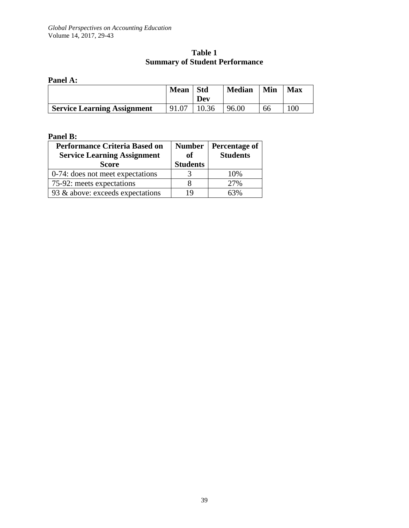## **Table 1 Summary of Student Performance**

#### **Panel A:**

|                                    | <b>Mean</b> | <b>Std</b><br>Dev | <b>Median</b> | Min | <b>Max</b> |
|------------------------------------|-------------|-------------------|---------------|-----|------------|
| <b>Service Learning Assignment</b> | 91.07       | 10.36             | 96.00         | 66  | $100^{-1}$ |

#### **Panel B:**

| <b>Performance Criteria Based on</b><br><b>Service Learning Assignment</b><br><b>Score</b> | <b>Number</b><br><sub>of</sub><br><b>Students</b> | Percentage of<br><b>Students</b> |
|--------------------------------------------------------------------------------------------|---------------------------------------------------|----------------------------------|
| 0-74: does not meet expectations                                                           |                                                   | 10%                              |
| 75-92: meets expectations                                                                  |                                                   | 27%                              |
| 93 & above: exceeds expectations                                                           | 19                                                | 63%                              |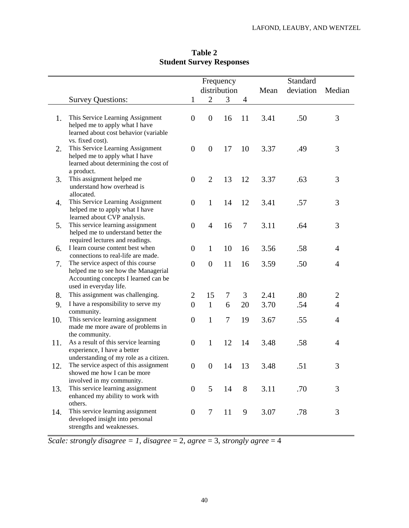|     |                                                                                                                                               | Frequency        |                  |        |                |      | Standard  |                |
|-----|-----------------------------------------------------------------------------------------------------------------------------------------------|------------------|------------------|--------|----------------|------|-----------|----------------|
|     |                                                                                                                                               |                  | distribution     |        |                | Mean | deviation | Median         |
|     | <b>Survey Questions:</b>                                                                                                                      | 1                | $\overline{2}$   | 3      | $\overline{4}$ |      |           |                |
| 1.  | This Service Learning Assignment<br>helped me to apply what I have<br>learned about cost behavior (variable                                   | $\boldsymbol{0}$ | $\boldsymbol{0}$ | 16     | 11             | 3.41 | .50       | 3              |
| 2.  | vs. fixed cost).<br>This Service Learning Assignment<br>helped me to apply what I have<br>learned about determining the cost of<br>a product. | $\overline{0}$   | $\boldsymbol{0}$ | 17     | 10             | 3.37 | .49       | 3              |
| 3.  | This assignment helped me<br>understand how overhead is<br>allocated.                                                                         | $\overline{0}$   | $\overline{2}$   | 13     | 12             | 3.37 | .63       | 3              |
| 4.  | This Service Learning Assignment<br>helped me to apply what I have<br>learned about CVP analysis.                                             | $\overline{0}$   | $\mathbf{1}$     | 14     | 12             | 3.41 | .57       | 3              |
| 5.  | This service learning assignment<br>helped me to understand better the<br>required lectures and readings.                                     | $\overline{0}$   | $\overline{4}$   | 16     | $\tau$         | 3.11 | .64       | 3              |
| 6.  | I learn course content best when<br>connections to real-life are made.                                                                        | $\overline{0}$   | $\mathbf{1}$     | 10     | 16             | 3.56 | .58       | 4              |
| 7.  | The service aspect of this course<br>helped me to see how the Managerial<br>Accounting concepts I learned can be<br>used in everyday life.    | $\overline{0}$   | $\overline{0}$   | 11     | 16             | 3.59 | .50       | $\overline{4}$ |
| 8.  | This assignment was challenging.                                                                                                              | $\overline{2}$   | 15               | 7      | 3              | 2.41 | .80       | $\overline{2}$ |
| 9.  | I have a responsibility to serve my<br>community.                                                                                             | $\overline{0}$   | $\mathbf{1}$     | 6      | 20             | 3.70 | .54       | $\overline{4}$ |
| 10. | This service learning assignment<br>made me more aware of problems in<br>the community.                                                       | $\overline{0}$   | $\mathbf{1}$     | $\tau$ | 19             | 3.67 | .55       | 4              |
| 11. | As a result of this service learning<br>experience, I have a better<br>understanding of my role as a citizen.                                 | $\overline{0}$   | $\mathbf{1}$     | 12     | 14             | 3.48 | .58       | 4              |
| 12. | The service aspect of this assignment<br>showed me how I can be more<br>involved in my community.                                             | $\boldsymbol{0}$ | $\boldsymbol{0}$ | 14     | 13             | 3.48 | .51       | 3              |
| 13. | This service learning assignment<br>enhanced my ability to work with<br>others.                                                               | $\theta$         | 5                | 14     | 8              | 3.11 | .70       | 3              |
| 14. | This service learning assignment<br>developed insight into personal<br>strengths and weaknesses.                                              | $\overline{0}$   | $\tau$           | 11     | 9              | 3.07 | .78       | 3              |

# **Table 2 Student Survey Responses**

*Scale: strongly disagree = 1, disagree* = 2, *agree* = 3, *strongly agree* = 4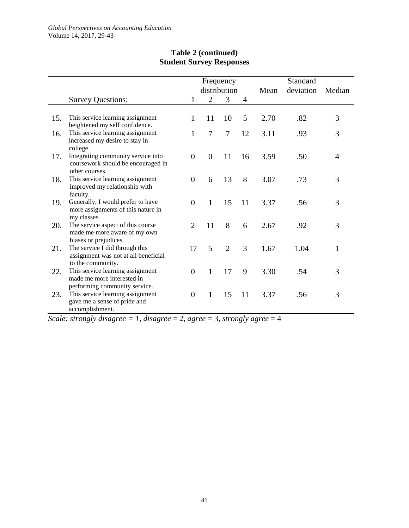|     |                                                                                                 |                |                | Frequency      |    |      | Standard  |                |
|-----|-------------------------------------------------------------------------------------------------|----------------|----------------|----------------|----|------|-----------|----------------|
|     |                                                                                                 |                |                | distribution   |    | Mean | deviation | Median         |
|     | <b>Survey Questions:</b>                                                                        | 1              | $\overline{2}$ | 3              | 4  |      |           |                |
|     |                                                                                                 |                |                |                |    |      |           |                |
| 15. | This service learning assignment<br>heightened my self confidence.                              | 1              | 11             | 10             | 5  | 2.70 | .82       | 3              |
| 16. | This service learning assignment<br>increased my desire to stay in<br>college.                  | 1              | $\tau$         | 7              | 12 | 3.11 | .93       | 3              |
| 17. | Integrating community service into<br>coursework should be encouraged in<br>other courses.      | $\overline{0}$ | $\overline{0}$ | 11             | 16 | 3.59 | .50       | $\overline{4}$ |
| 18. | This service learning assignment<br>improved my relationship with<br>faculty.                   | $\overline{0}$ | 6              | 13             | 8  | 3.07 | .73       | 3              |
| 19. | Generally, I would prefer to have<br>more assignments of this nature in<br>my classes.          | $\overline{0}$ | $\mathbf{1}$   | 15             | 11 | 3.37 | .56       | 3              |
| 20. | The service aspect of this course<br>made me more aware of my own<br>biases or prejudices.      | $\overline{2}$ | 11             | 8              | 6  | 2.67 | .92       | 3              |
| 21. | The service I did through this<br>assignment was not at all beneficial<br>to the community.     | 17             | 5              | $\overline{2}$ | 3  | 1.67 | 1.04      | $\mathbf{1}$   |
| 22. | This service learning assignment<br>made me more interested in<br>performing community service. | $\overline{0}$ | $\mathbf{1}$   | 17             | 9  | 3.30 | .54       | 3              |
| 23. | This service learning assignment<br>gave me a sense of pride and<br>accomplishment.             | $\overline{0}$ | $\mathbf{1}$   | 15             | 11 | 3.37 | .56       | 3              |

# **Table 2 (continued) Student Survey Responses**

*Scale: strongly disagree* = 1, *disagree* = 2, *agree* = 3, *strongly agree* = 4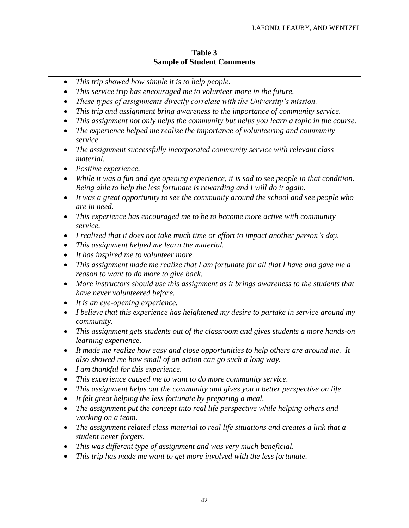#### **Table 3 Sample of Student Comments**

- *This trip showed how simple it is to help people.*
- *This service trip has encouraged me to volunteer more in the future.*
- *These types of assignments directly correlate with the University's mission.*
- *This trip and assignment bring awareness to the importance of community service.*
- *This assignment not only helps the community but helps you learn a topic in the course.*
- *The experience helped me realize the importance of volunteering and community service.*
- *The assignment successfully incorporated community service with relevant class material.*
- *Positive experience.*
- *While it was a fun and eye opening experience, it is sad to see people in that condition. Being able to help the less fortunate is rewarding and I will do it again.*
- *It was a great opportunity to see the community around the school and see people who are in need.*
- *This experience has encouraged me to be to become more active with community service.*
- *I realized that it does not take much time or effort to impact another person's day.*
- *This assignment helped me learn the material.*
- *It has inspired me to volunteer more.*
- *This assignment made me realize that I am fortunate for all that I have and gave me a reason to want to do more to give back.*
- *More instructors should use this assignment as it brings awareness to the students that have never volunteered before.*
- *It is an eye-opening experience.*
- *I believe that this experience has heightened my desire to partake in service around my community.*
- *This assignment gets students out of the classroom and gives students a more hands-on learning experience.*
- *It made me realize how easy and close opportunities to help others are around me. It also showed me how small of an action can go such a long way.*
- *I am thankful for this experience.*
- *This experience caused me to want to do more community service.*
- *This assignment helps out the community and gives you a better perspective on life.*
- *It felt great helping the less fortunate by preparing a meal.*
- *The assignment put the concept into real life perspective while helping others and working on a team.*
- *The assignment related class material to real life situations and creates a link that a student never forgets.*
- *This was different type of assignment and was very much beneficial.*
- *This trip has made me want to get more involved with the less fortunate.*